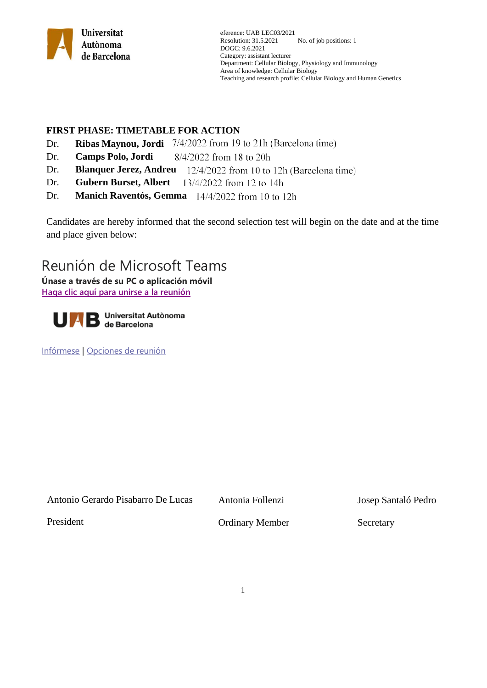

# **FIRST PHASE: TIMETABLE FOR ACTION**

- Dr. **Ribas Maynou, Jordi**  $7/4/2022$  from 19 to 21h (Barcelona time)
- Dr. **Camps Polo, Jordi** 8/4/2022 from 18 to 20h
- Dr. **Blanquer Jerez, Andreu**
- Dr. **Gubern Burset, Albert** 13/4/2022 from 12 to 14h
- Dr. **Manich Raventós, Gemma**

Candidates are hereby informed that the second selection test will begin on the date and at the time and place given below:

# Reunión de Microsoft Teams

**Únase a través de su PC o aplicación móvil [Haga clic aquí para unirse a la reunión](https://teams.microsoft.com/l/meetup-join/19%3ameeting_NDZhOTQ0MDQtNDNkMS00MmQ4LWI0YTUtYTRjNThkM2UyNTIz%40thread.v2/0?context=%7b%22Tid%22%3a%226b514c29-2391-4831-b774-84f35c45bf01%22%2c%22Oid%22%3a%228f8695b7-bc22-43e6-895e-2cbcd85523de%22%7d)**



[Infórmese](https://aka.ms/JoinTeamsMeeting) | [Opciones de reunión](https://teams.microsoft.com/meetingOptions/?organizerId=bf0f8767-5c07-4276-b1b8-37eec54f27f7&tenantId=6b514c29-2391-4831-b774-84f35c45bf01&threadId=19_meeting_OWU1YzAyMDktOWYwYy00OGQzLTk2ZDctNjI4NDc3N2M0MTIw@thread.v2&messageId=0&language=es-ES)

|  | Antonio Gerardo Pisabarro De Lucas | Anton |
|--|------------------------------------|-------|
|  |                                    |       |

hia Follenzi dia Follenzi dia Follenzi dia Follenzi dia Kasaranjara (np. 1684). Ny isa

President **Ordinary Member** Secretary